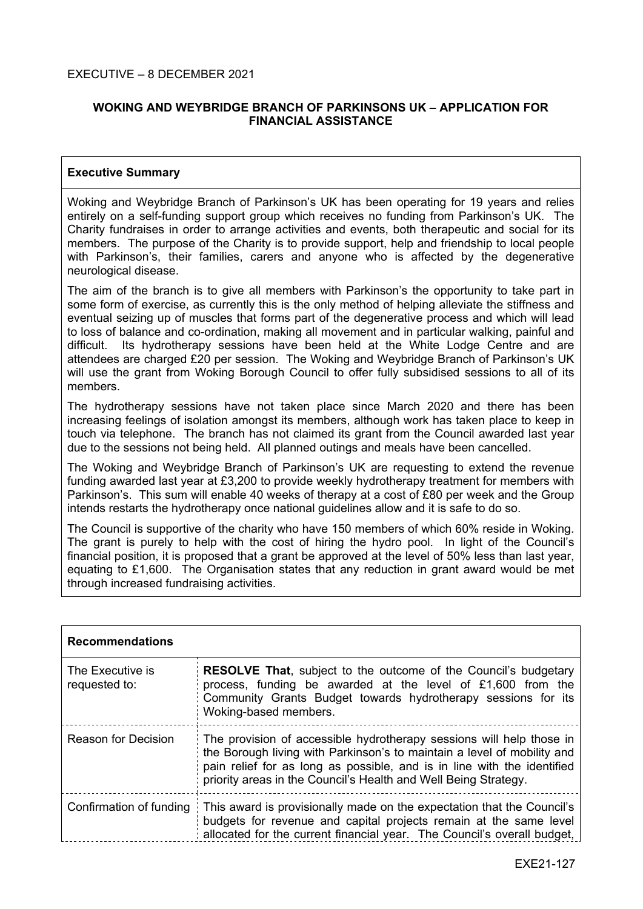## **WOKING AND WEYBRIDGE BRANCH OF PARKINSONS UK – APPLICATION FOR FINANCIAL ASSISTANCE**

## **Executive Summary**

Woking and Weybridge Branch of Parkinson's UK has been operating for 19 years and relies entirely on a self-funding support group which receives no funding from Parkinson's UK. The Charity fundraises in order to arrange activities and events, both therapeutic and social for its members. The purpose of the Charity is to provide support, help and friendship to local people with Parkinson's, their families, carers and anyone who is affected by the degenerative neurological disease.

The aim of the branch is to give all members with Parkinson's the opportunity to take part in some form of exercise, as currently this is the only method of helping alleviate the stiffness and eventual seizing up of muscles that forms part of the degenerative process and which will lead to loss of balance and co-ordination, making all movement and in particular walking, painful and difficult. Its hydrotherapy sessions have been held at the White Lodge Centre and are attendees are charged £20 per session. The Woking and Weybridge Branch of Parkinson's UK will use the grant from Woking Borough Council to offer fully subsidised sessions to all of its members.

The hydrotherapy sessions have not taken place since March 2020 and there has been increasing feelings of isolation amongst its members, although work has taken place to keep in touch via telephone. The branch has not claimed its grant from the Council awarded last year due to the sessions not being held. All planned outings and meals have been cancelled.

The Woking and Weybridge Branch of Parkinson's UK are requesting to extend the revenue funding awarded last year at £3,200 to provide weekly hydrotherapy treatment for members with Parkinson's. This sum will enable 40 weeks of therapy at a cost of £80 per week and the Group intends restarts the hydrotherapy once national guidelines allow and it is safe to do so.

The Council is supportive of the charity who have 150 members of which 60% reside in Woking. The grant is purely to help with the cost of hiring the hydro pool. In light of the Council's financial position, it is proposed that a grant be approved at the level of 50% less than last year, equating to £1,600. The Organisation states that any reduction in grant award would be met through increased fundraising activities.

| <b>Recommendations</b>            |                                                                                                                                                                                                                                                                                               |  |
|-----------------------------------|-----------------------------------------------------------------------------------------------------------------------------------------------------------------------------------------------------------------------------------------------------------------------------------------------|--|
| The Executive is<br>requested to: | <b>RESOLVE That, subject to the outcome of the Council's budgetary</b><br>process, funding be awarded at the level of £1,600 from the<br>Community Grants Budget towards hydrotherapy sessions for its<br>Woking-based members.                                                               |  |
| Reason for Decision               | The provision of accessible hydrotherapy sessions will help those in<br>the Borough living with Parkinson's to maintain a level of mobility and<br>pain relief for as long as possible, and is in line with the identified<br>priority areas in the Council's Health and Well Being Strategy. |  |
| Confirmation of funding           | This award is provisionally made on the expectation that the Council's<br>budgets for revenue and capital projects remain at the same level<br>allocated for the current financial year. The Council's overall budget,                                                                        |  |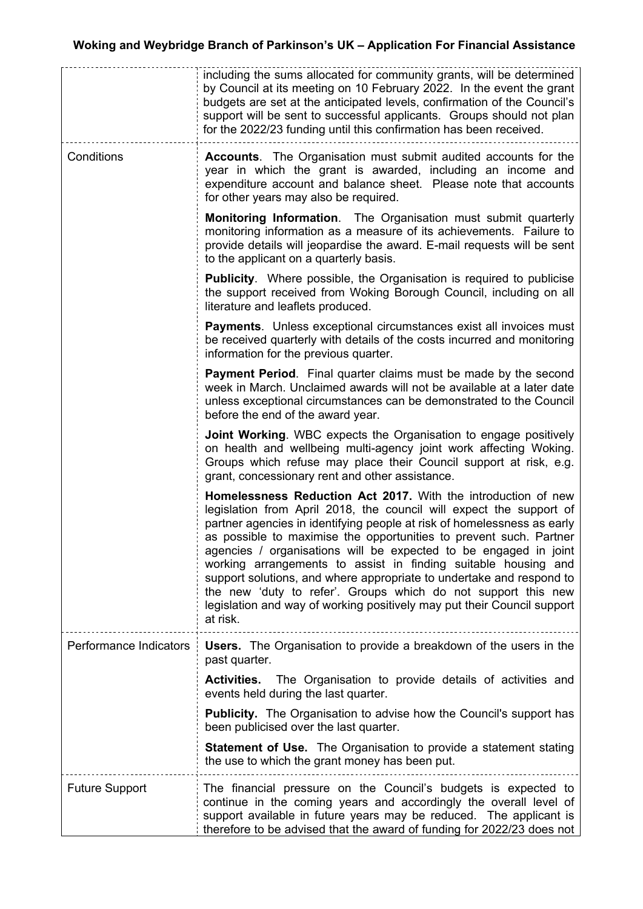|                        | including the sums allocated for community grants, will be determined<br>by Council at its meeting on 10 February 2022. In the event the grant<br>budgets are set at the anticipated levels, confirmation of the Council's<br>support will be sent to successful applicants. Groups should not plan<br>for the 2022/23 funding until this confirmation has been received.                                                                                                                                                                                                                                                                                   |
|------------------------|-------------------------------------------------------------------------------------------------------------------------------------------------------------------------------------------------------------------------------------------------------------------------------------------------------------------------------------------------------------------------------------------------------------------------------------------------------------------------------------------------------------------------------------------------------------------------------------------------------------------------------------------------------------|
| Conditions             | <b>Accounts.</b> The Organisation must submit audited accounts for the<br>year in which the grant is awarded, including an income and<br>expenditure account and balance sheet. Please note that accounts<br>for other years may also be required.                                                                                                                                                                                                                                                                                                                                                                                                          |
|                        | <b>Monitoring Information.</b> The Organisation must submit quarterly<br>monitoring information as a measure of its achievements. Failure to<br>provide details will jeopardise the award. E-mail requests will be sent<br>to the applicant on a quarterly basis.                                                                                                                                                                                                                                                                                                                                                                                           |
|                        | <b>Publicity.</b> Where possible, the Organisation is required to publicise<br>the support received from Woking Borough Council, including on all<br>literature and leaflets produced.                                                                                                                                                                                                                                                                                                                                                                                                                                                                      |
|                        | <b>Payments.</b> Unless exceptional circumstances exist all invoices must<br>be received quarterly with details of the costs incurred and monitoring<br>information for the previous quarter.                                                                                                                                                                                                                                                                                                                                                                                                                                                               |
|                        | <b>Payment Period.</b> Final quarter claims must be made by the second<br>week in March. Unclaimed awards will not be available at a later date<br>unless exceptional circumstances can be demonstrated to the Council<br>before the end of the award year.                                                                                                                                                                                                                                                                                                                                                                                                 |
|                        | Joint Working. WBC expects the Organisation to engage positively<br>on health and wellbeing multi-agency joint work affecting Woking.<br>Groups which refuse may place their Council support at risk, e.g.<br>grant, concessionary rent and other assistance.                                                                                                                                                                                                                                                                                                                                                                                               |
|                        | Homelessness Reduction Act 2017. With the introduction of new<br>legislation from April 2018, the council will expect the support of<br>partner agencies in identifying people at risk of homelessness as early<br>as possible to maximise the opportunities to prevent such. Partner<br>agencies / organisations will be expected to be engaged in joint<br>working arrangements to assist in finding suitable housing and<br>support solutions, and where appropriate to undertake and respond to<br>the new 'duty to refer'. Groups which do not support this new<br>legislation and way of working positively may put their Council support<br>at risk. |
| Performance Indicators | <b>Users.</b> The Organisation to provide a breakdown of the users in the<br>past quarter.<br><b>Activities.</b> The Organisation to provide details of activities and                                                                                                                                                                                                                                                                                                                                                                                                                                                                                      |
|                        | events held during the last quarter.                                                                                                                                                                                                                                                                                                                                                                                                                                                                                                                                                                                                                        |
|                        | <b>Publicity.</b> The Organisation to advise how the Council's support has<br>been publicised over the last quarter.                                                                                                                                                                                                                                                                                                                                                                                                                                                                                                                                        |
|                        | <b>Statement of Use.</b> The Organisation to provide a statement stating<br>the use to which the grant money has been put.                                                                                                                                                                                                                                                                                                                                                                                                                                                                                                                                  |
| <b>Future Support</b>  | The financial pressure on the Council's budgets is expected to<br>continue in the coming years and accordingly the overall level of<br>support available in future years may be reduced. The applicant is<br>therefore to be advised that the award of funding for 2022/23 does not                                                                                                                                                                                                                                                                                                                                                                         |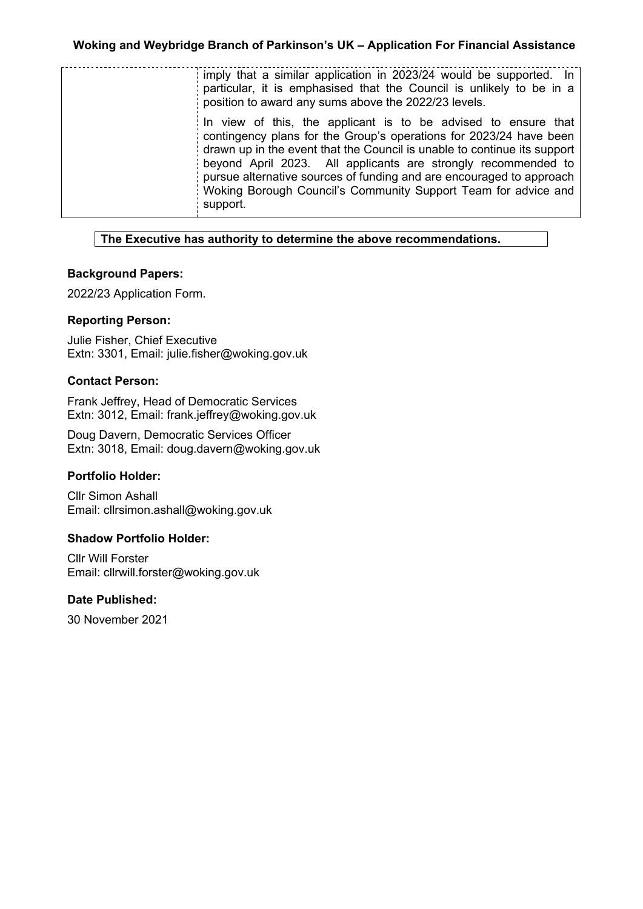| imply that a similar application in 2023/24 would be supported. In<br>particular, it is emphasised that the Council is unlikely to be in a<br>position to award any sums above the 2022/23 levels.                                                                                                                                                                                                                                      |
|-----------------------------------------------------------------------------------------------------------------------------------------------------------------------------------------------------------------------------------------------------------------------------------------------------------------------------------------------------------------------------------------------------------------------------------------|
| In view of this, the applicant is to be advised to ensure that<br>contingency plans for the Group's operations for 2023/24 have been<br>drawn up in the event that the Council is unable to continue its support<br>beyond April 2023. All applicants are strongly recommended to<br>pursue alternative sources of funding and are encouraged to approach<br>Woking Borough Council's Community Support Team for advice and<br>support. |

## **The Executive has authority to determine the above recommendations.**

#### **Background Papers:**

2022/23 Application Form.

#### **Reporting Person:**

Julie Fisher, Chief Executive Extn: 3301, Email: julie.fisher@woking.gov.uk

#### **Contact Person:**

Frank Jeffrey, Head of Democratic Services Extn: 3012, Email: frank.jeffrey@woking.gov.uk

Doug Davern, Democratic Services Officer Extn: 3018, Email: doug.davern@woking.gov.uk

## **Portfolio Holder:**

Cllr Simon Ashall Email: cllrsimon.ashall@woking.gov.uk

#### **Shadow Portfolio Holder:**

Cllr Will Forster Email: cllrwill.forster@woking.gov.uk

## **Date Published:**

30 November 2021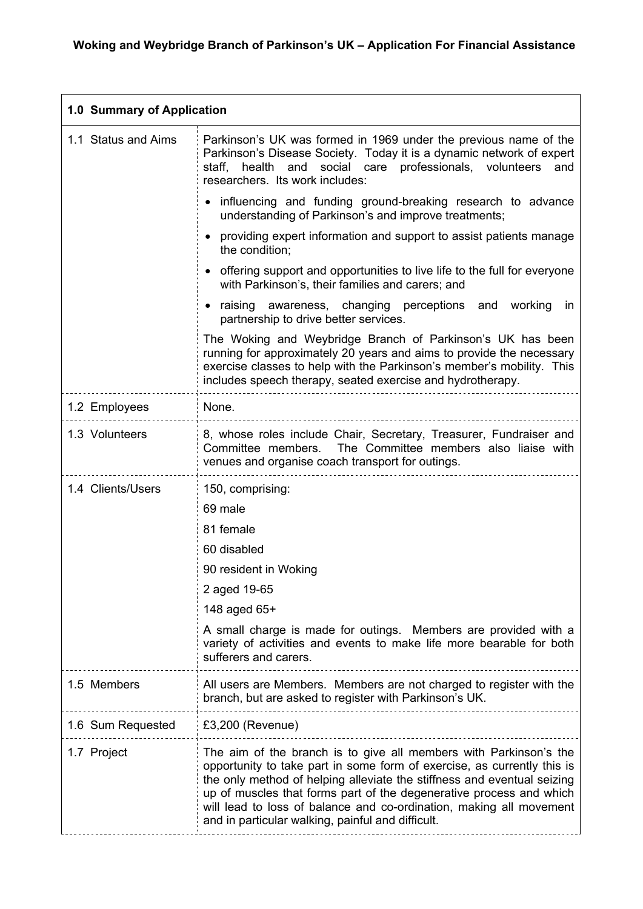| 1.0 Summary of Application |                                                                                                                                                                                                                                                                                                                                                                                                                            |  |  |  |  |
|----------------------------|----------------------------------------------------------------------------------------------------------------------------------------------------------------------------------------------------------------------------------------------------------------------------------------------------------------------------------------------------------------------------------------------------------------------------|--|--|--|--|
| 1.1 Status and Aims        | Parkinson's UK was formed in 1969 under the previous name of the<br>Parkinson's Disease Society. Today it is a dynamic network of expert<br>and social care professionals, volunteers<br>health<br>and<br>staff,<br>researchers. Its work includes:                                                                                                                                                                        |  |  |  |  |
|                            | • influencing and funding ground-breaking research to advance<br>understanding of Parkinson's and improve treatments;                                                                                                                                                                                                                                                                                                      |  |  |  |  |
|                            | • providing expert information and support to assist patients manage<br>the condition;                                                                                                                                                                                                                                                                                                                                     |  |  |  |  |
|                            | • offering support and opportunities to live life to the full for everyone<br>with Parkinson's, their families and carers; and                                                                                                                                                                                                                                                                                             |  |  |  |  |
|                            | • raising awareness, changing perceptions and working<br>in<br>partnership to drive better services.                                                                                                                                                                                                                                                                                                                       |  |  |  |  |
|                            | The Woking and Weybridge Branch of Parkinson's UK has been<br>running for approximately 20 years and aims to provide the necessary<br>exercise classes to help with the Parkinson's member's mobility. This<br>includes speech therapy, seated exercise and hydrotherapy.                                                                                                                                                  |  |  |  |  |
| 1.2 Employees              | None.                                                                                                                                                                                                                                                                                                                                                                                                                      |  |  |  |  |
| 1.3 Volunteers             | 8, whose roles include Chair, Secretary, Treasurer, Fundraiser and<br>Committee members.<br>The Committee members also liaise with<br>venues and organise coach transport for outings.                                                                                                                                                                                                                                     |  |  |  |  |
| 1.4 Clients/Users          | 150, comprising:                                                                                                                                                                                                                                                                                                                                                                                                           |  |  |  |  |
|                            | 69 male                                                                                                                                                                                                                                                                                                                                                                                                                    |  |  |  |  |
|                            | 81 female                                                                                                                                                                                                                                                                                                                                                                                                                  |  |  |  |  |
|                            | 60 disabled                                                                                                                                                                                                                                                                                                                                                                                                                |  |  |  |  |
|                            | 90 resident in Woking                                                                                                                                                                                                                                                                                                                                                                                                      |  |  |  |  |
|                            | 2 aged 19-65                                                                                                                                                                                                                                                                                                                                                                                                               |  |  |  |  |
|                            | 148 aged 65+                                                                                                                                                                                                                                                                                                                                                                                                               |  |  |  |  |
|                            | A small charge is made for outings. Members are provided with a<br>variety of activities and events to make life more bearable for both<br>sufferers and carers.                                                                                                                                                                                                                                                           |  |  |  |  |
| 1.5 Members                | All users are Members. Members are not charged to register with the<br>branch, but are asked to register with Parkinson's UK.                                                                                                                                                                                                                                                                                              |  |  |  |  |
| 1.6 Sum Requested          | $£3,200$ (Revenue)                                                                                                                                                                                                                                                                                                                                                                                                         |  |  |  |  |
| 1.7 Project                | The aim of the branch is to give all members with Parkinson's the<br>opportunity to take part in some form of exercise, as currently this is<br>the only method of helping alleviate the stiffness and eventual seizing<br>up of muscles that forms part of the degenerative process and which<br>will lead to loss of balance and co-ordination, making all movement<br>and in particular walking, painful and difficult. |  |  |  |  |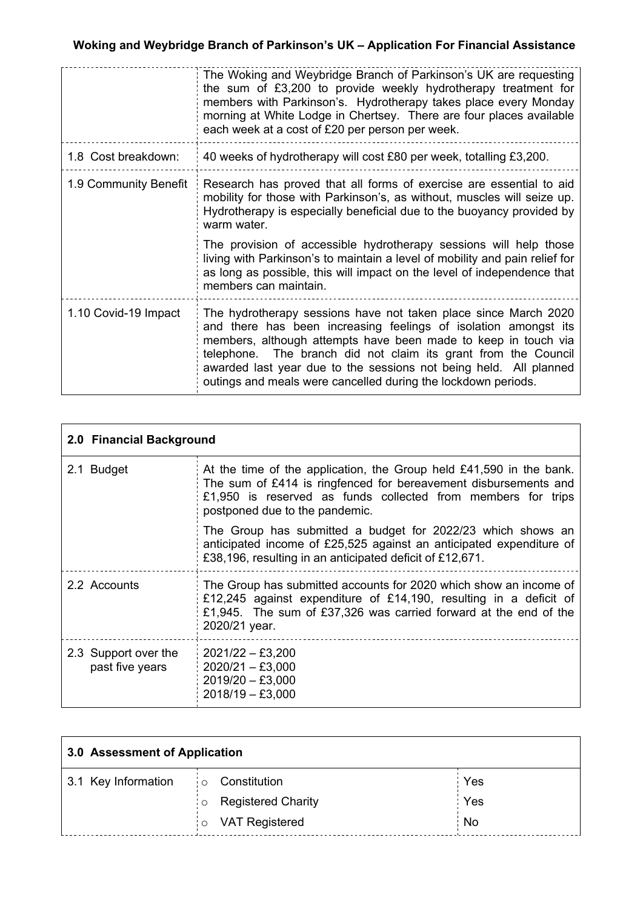|                       | The Woking and Weybridge Branch of Parkinson's UK are requesting<br>the sum of £3,200 to provide weekly hydrotherapy treatment for<br>members with Parkinson's. Hydrotherapy takes place every Monday<br>morning at White Lodge in Chertsey. There are four places available<br>each week at a cost of £20 per person per week.                                                                              |  |
|-----------------------|--------------------------------------------------------------------------------------------------------------------------------------------------------------------------------------------------------------------------------------------------------------------------------------------------------------------------------------------------------------------------------------------------------------|--|
| 1.8 Cost breakdown:   | 40 weeks of hydrotherapy will cost £80 per week, totalling £3,200.                                                                                                                                                                                                                                                                                                                                           |  |
| 1.9 Community Benefit | Research has proved that all forms of exercise are essential to aid<br>mobility for those with Parkinson's, as without, muscles will seize up.<br>Hydrotherapy is especially beneficial due to the buoyancy provided by<br>warm water.                                                                                                                                                                       |  |
|                       | The provision of accessible hydrotherapy sessions will help those<br>living with Parkinson's to maintain a level of mobility and pain relief for<br>as long as possible, this will impact on the level of independence that<br>members can maintain.                                                                                                                                                         |  |
| 1.10 Covid-19 Impact  | The hydrotherapy sessions have not taken place since March 2020<br>and there has been increasing feelings of isolation amongst its<br>members, although attempts have been made to keep in touch via<br>telephone. The branch did not claim its grant from the Council<br>awarded last year due to the sessions not being held. All planned<br>outings and meals were cancelled during the lockdown periods. |  |

| 2.0 Financial Background                |                                                                                                                                                                                                                                            |  |
|-----------------------------------------|--------------------------------------------------------------------------------------------------------------------------------------------------------------------------------------------------------------------------------------------|--|
| 2.1 Budget                              | At the time of the application, the Group held $£41,590$ in the bank.<br>The sum of £414 is ringfenced for bereavement disbursements and<br>£1,950 is reserved as funds collected from members for trips<br>postponed due to the pandemic. |  |
|                                         | The Group has submitted a budget for 2022/23 which shows an<br>anticipated income of £25,525 against an anticipated expenditure of<br>£38,196, resulting in an anticipated deficit of £12,671.                                             |  |
| 2.2 Accounts                            | The Group has submitted accounts for 2020 which show an income of<br>£12,245 against expenditure of £14,190, resulting in a deficit of<br>£1,945. The sum of £37,326 was carried forward at the end of the<br>2020/21 year.                |  |
| 2.3 Support over the<br>past five years | $2021/22 - £3,200$<br>$2020/21 - £3,000$<br>$2019/20 - £3,000$<br>$2018/19 - £3,000$                                                                                                                                                       |  |

| 3.0 Assessment of Application |                                      |      |
|-------------------------------|--------------------------------------|------|
| 3.1 Key Information           | Constitution<br>$\circ$              | Yes  |
|                               | <b>Registered Charity</b><br>$\circ$ | Yes  |
|                               | VAT Registered<br>$\circ$            | : No |